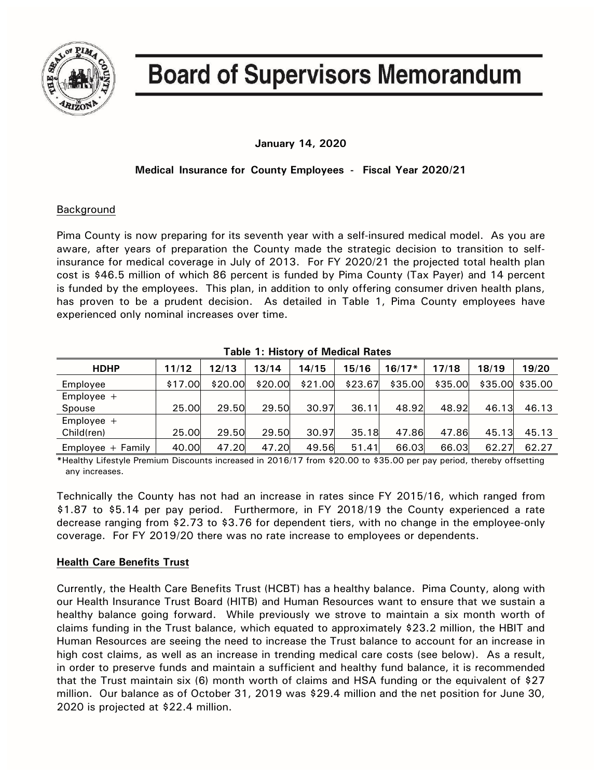

# **Board of Supervisors Memorandum**

# **January 14, 2020**

# **Medical Insurance for County Employees - Fiscal Year 2020/21**

## Background

Pima County is now preparing for its seventh year with a self-insured medical model. As you are aware, after years of preparation the County made the strategic decision to transition to selfinsurance for medical coverage in July of 2013. For FY 2020/21 the projected total health plan cost is \$46.5 million of which 86 percent is funded by Pima County (Tax Payer) and 14 percent is funded by the employees. This plan, in addition to only offering consumer driven health plans, has proven to be a prudent decision. As detailed in Table 1, Pima County employees have experienced only nominal increases over time.

| $1$ abic to the correct of the category of $\sim$ |         |         |         |         |         |          |         |         |         |  |
|---------------------------------------------------|---------|---------|---------|---------|---------|----------|---------|---------|---------|--|
| <b>HDHP</b>                                       | 11/12   | 12/13   | 13/14   | 14/15   | 15/16   | $16/17*$ | 17/18   | 18/19   | 19/20   |  |
| Employee                                          | \$17.00 | \$20.00 | \$20.00 | \$21.00 | \$23.67 | \$35.00  | \$35.00 | \$35.00 | \$35.00 |  |
| Employee $+$                                      |         |         |         |         |         |          |         |         |         |  |
| Spouse                                            | 25.00   | 29.50   | 29.50   | 30.97   | 36.11   | 48.92    | 48.92   | 46.13   | 46.13   |  |
| Employee $+$                                      |         |         |         |         |         |          |         |         |         |  |
| Child(ren)                                        | 25.00   | 29.50   | 29.50   | 30.97   | 35.18   | 47.86    | 47.86   | 45.13   | 45.13   |  |
| $Employee + Family$                               | 40.00   | 47.20   | 47.20   | 49.56   | 51.41   | 66.03    | 66.03   | 62.27   | 62.27   |  |

**Table 1: History of Medical Rates**

**\***Healthy Lifestyle Premium Discounts increased in 2016/17 from \$20.00 to \$35.00 per pay period, thereby offsetting any increases.

Technically the County has not had an increase in rates since FY 2015/16, which ranged from \$1.87 to \$5.14 per pay period. Furthermore, in FY 2018/19 the County experienced a rate decrease ranging from \$2.73 to \$3.76 for dependent tiers, with no change in the employee-only coverage. For FY 2019/20 there was no rate increase to employees or dependents.

## **Health Care Benefits Trust**

Currently, the Health Care Benefits Trust (HCBT) has a healthy balance. Pima County, along with our Health Insurance Trust Board (HITB) and Human Resources want to ensure that we sustain a healthy balance going forward. While previously we strove to maintain a six month worth of claims funding in the Trust balance, which equated to approximately \$23.2 million, the HBIT and Human Resources are seeing the need to increase the Trust balance to account for an increase in high cost claims, as well as an increase in trending medical care costs (see below). As a result, in order to preserve funds and maintain a sufficient and healthy fund balance, it is recommended that the Trust maintain six (6) month worth of claims and HSA funding or the equivalent of \$27 million. Our balance as of October 31, 2019 was \$29.4 million and the net position for June 30, 2020 is projected at \$22.4 million.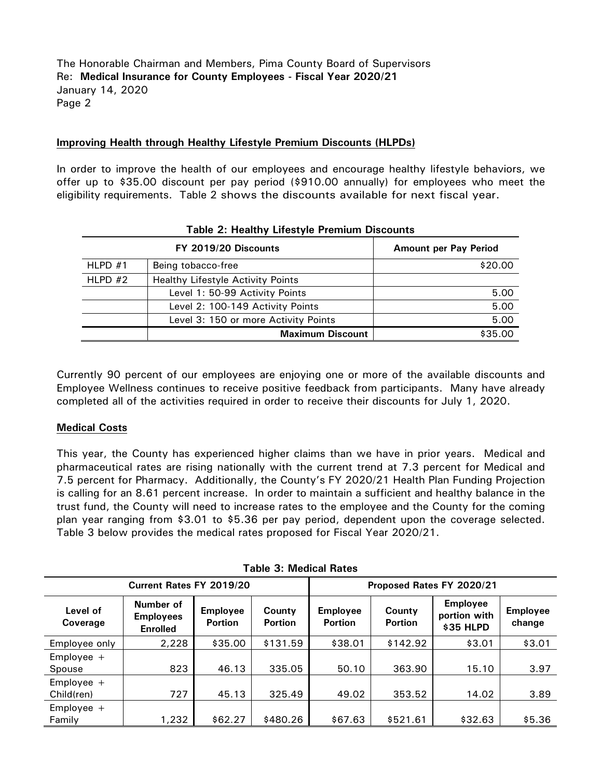## **Improving Health through Healthy Lifestyle Premium Discounts (HLPDs)**

In order to improve the health of our employees and encourage healthy lifestyle behaviors, we offer up to \$35.00 discount per pay period (\$910.00 annually) for employees who meet the eligibility requirements. Table 2 shows the discounts available for next fiscal year.

| rapic 2. Healthy Encotyle Fichmann Discounts |                                          |                              |  |  |  |
|----------------------------------------------|------------------------------------------|------------------------------|--|--|--|
|                                              | FY 2019/20 Discounts                     | <b>Amount per Pay Period</b> |  |  |  |
| HLPD $#1$                                    | Being tobacco-free                       | \$20.00                      |  |  |  |
| $HLPD$ #2                                    | <b>Healthy Lifestyle Activity Points</b> |                              |  |  |  |
|                                              | Level 1: 50-99 Activity Points           | 5.00                         |  |  |  |
|                                              | Level 2: 100-149 Activity Points         | 5.00                         |  |  |  |
|                                              | Level 3: 150 or more Activity Points     | 5.00                         |  |  |  |
|                                              | <b>Maximum Discount</b>                  | \$35.00                      |  |  |  |

### **Table 2: Healthy Lifestyle Premium Discounts**

Currently 90 percent of our employees are enjoying one or more of the available discounts and Employee Wellness continues to receive positive feedback from participants. Many have already completed all of the activities required in order to receive their discounts for July 1, 2020.

#### **Medical Costs**

This year, the County has experienced higher claims than we have in prior years. Medical and pharmaceutical rates are rising nationally with the current trend at 7.3 percent for Medical and 7.5 percent for Pharmacy. Additionally, the County's FY 2020/21 Health Plan Funding Projection is calling for an 8.61 percent increase. In order to maintain a sufficient and healthy balance in the trust fund, the County will need to increase rates to the employee and the County for the coming plan year ranging from \$3.01 to \$5.36 per pay period, dependent upon the coverage selected. Table 3 below provides the medical rates proposed for Fiscal Year 2020/21.

| Current Rates FY 2019/20   |                                                  |                                   |                          | Proposed Rates FY 2020/21         |                          |                                              |                           |  |  |
|----------------------------|--------------------------------------------------|-----------------------------------|--------------------------|-----------------------------------|--------------------------|----------------------------------------------|---------------------------|--|--|
| Level of<br>Coverage       | Number of<br><b>Employees</b><br><b>Enrolled</b> | <b>Employee</b><br><b>Portion</b> | County<br><b>Portion</b> | <b>Employee</b><br><b>Portion</b> | County<br><b>Portion</b> | <b>Employee</b><br>portion with<br>\$35 HLPD | <b>Employee</b><br>change |  |  |
| Employee only              | 2,228                                            | \$35.00                           | \$131.59                 | \$38.01                           | \$142.92                 | \$3.01                                       | \$3.01                    |  |  |
| $Employee +$<br>Spouse     | 823                                              | 46.13                             | 335.05                   | 50.10                             | 363.90                   | 15.10                                        | 3.97                      |  |  |
| Employee $+$<br>Child(ren) | 727                                              | 45.13                             | 325.49                   | 49.02                             | 353.52                   | 14.02                                        | 3.89                      |  |  |
| $Employee +$<br>Family     | 1,232                                            | \$62.27                           | \$480.26                 | \$67.63                           | \$521.61                 | \$32.63                                      | \$5.36                    |  |  |

**Table 3: Medical Rates**